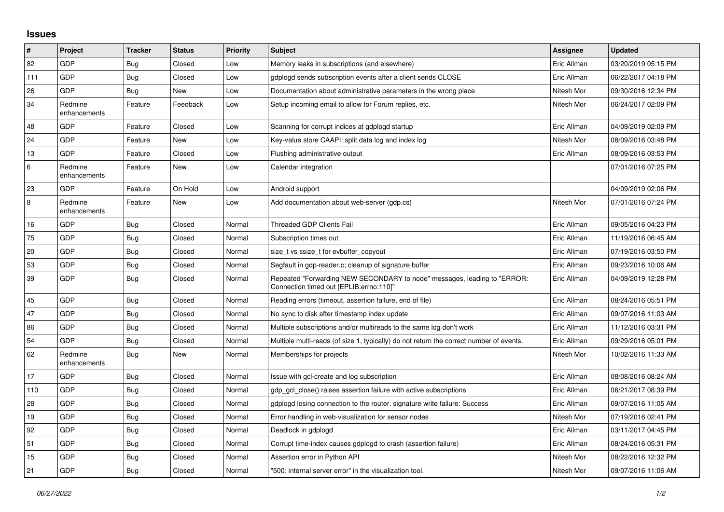## **Issues**

| $\vert$ # | Project                 | <b>Tracker</b> | <b>Status</b> | <b>Priority</b> | <b>Subject</b>                                                                                                      | <b>Assignee</b> | <b>Updated</b>      |
|-----------|-------------------------|----------------|---------------|-----------------|---------------------------------------------------------------------------------------------------------------------|-----------------|---------------------|
| 82        | GDP                     | Bug            | Closed        | Low             | Memory leaks in subscriptions (and elsewhere)                                                                       | Eric Allman     | 03/20/2019 05:15 PM |
| 111       | GDP                     | Bug            | Closed        | Low             | adpload sends subscription events after a client sends CLOSE                                                        | Eric Allman     | 06/22/2017 04:18 PM |
| 26        | <b>GDP</b>              | <b>Bug</b>     | New           | Low             | Documentation about administrative parameters in the wrong place                                                    | Nitesh Mor      | 09/30/2016 12:34 PM |
| 34        | Redmine<br>enhancements | Feature        | Feedback      | Low             | Setup incoming email to allow for Forum replies, etc.                                                               | Nitesh Mor      | 06/24/2017 02:09 PM |
| 48        | <b>GDP</b>              | Feature        | Closed        | Low             | Scanning for corrupt indices at gdplogd startup                                                                     | Eric Allman     | 04/09/2019 02:09 PM |
| 24        | GDP                     | Feature        | <b>New</b>    | Low             | Key-value store CAAPI: split data log and index log                                                                 | Nitesh Mor      | 08/09/2016 03:48 PM |
| 13        | GDP                     | Feature        | Closed        | Low             | Flushing administrative output                                                                                      | Eric Allman     | 08/09/2016 03:53 PM |
| $\,6\,$   | Redmine<br>enhancements | Feature        | New           | Low             | Calendar integration                                                                                                |                 | 07/01/2016 07:25 PM |
| 23        | GDP                     | Feature        | On Hold       | Low             | Android support                                                                                                     |                 | 04/09/2019 02:06 PM |
| $\,8\,$   | Redmine<br>enhancements | Feature        | New           | Low             | Add documentation about web-server (gdp.cs)                                                                         | Nitesh Mor      | 07/01/2016 07:24 PM |
| 16        | GDP                     | Bug            | Closed        | Normal          | <b>Threaded GDP Clients Fail</b>                                                                                    | Eric Allman     | 09/05/2016 04:23 PM |
| 75        | GDP                     | <b>Bug</b>     | Closed        | Normal          | Subscription times out                                                                                              | Eric Allman     | 11/19/2016 06:45 AM |
| 20        | GDP                     | Bug            | Closed        | Normal          | size t vs ssize t for evbuffer copyout                                                                              | Eric Allman     | 07/19/2016 03:50 PM |
| 53        | GDP                     | <b>Bug</b>     | Closed        | Normal          | Segfault in gdp-reader.c; cleanup of signature buffer                                                               | Eric Allman     | 09/23/2016 10:06 AM |
| 39        | GDP                     | Bug            | Closed        | Normal          | Repeated "Forwarding NEW SECONDARY to node" messages, leading to "ERROR:<br>Connection timed out [EPLIB:errno:110]" | Eric Allman     | 04/09/2019 12:28 PM |
| 45        | <b>GDP</b>              | Bug            | Closed        | Normal          | Reading errors (timeout, assertion failure, end of file)                                                            | Eric Allman     | 08/24/2016 05:51 PM |
| 47        | GDP                     | Bug            | Closed        | Normal          | No sync to disk after timestamp index update                                                                        | Eric Allman     | 09/07/2016 11:03 AM |
| 86        | GDP                     | <b>Bug</b>     | Closed        | Normal          | Multiple subscriptions and/or multireads to the same log don't work                                                 | Eric Allman     | 11/12/2016 03:31 PM |
| 54        | GDP                     | <b>Bug</b>     | Closed        | Normal          | Multiple multi-reads (of size 1, typically) do not return the correct number of events.                             | Eric Allman     | 09/29/2016 05:01 PM |
| 62        | Redmine<br>enhancements | Bug            | New           | Normal          | Memberships for projects                                                                                            | Nitesh Mor      | 10/02/2016 11:33 AM |
| 17        | GDP                     | <b>Bug</b>     | Closed        | Normal          | Issue with gcl-create and log subscription                                                                          | Eric Allman     | 08/08/2016 08:24 AM |
| 110       | GDP                     | <b>Bug</b>     | Closed        | Normal          | gdp gcl close() raises assertion failure with active subscriptions                                                  | Eric Allman     | 06/21/2017 08:39 PM |
| 28        | GDP                     | Bug            | Closed        | Normal          | gdplogd losing connection to the router. signature write failure: Success                                           | Eric Allman     | 09/07/2016 11:05 AM |
| 19        | GDP                     | Bug            | Closed        | Normal          | Error handling in web-visualization for sensor nodes                                                                | Nitesh Mor      | 07/19/2016 02:41 PM |
| 92        | GDP                     | <b>Bug</b>     | Closed        | Normal          | Deadlock in gdplogd                                                                                                 | Eric Allman     | 03/11/2017 04:45 PM |
| 51        | GDP                     | Bug            | Closed        | Normal          | Corrupt time-index causes gdplogd to crash (assertion failure)                                                      | Eric Allman     | 08/24/2016 05:31 PM |
| 15        | GDP                     | <b>Bug</b>     | Closed        | Normal          | Assertion error in Python API                                                                                       | Nitesh Mor      | 08/22/2016 12:32 PM |
| 21        | <b>GDP</b>              | <b>Bug</b>     | Closed        | Normal          | "500: internal server error" in the visualization tool.                                                             | Nitesh Mor      | 09/07/2016 11:06 AM |